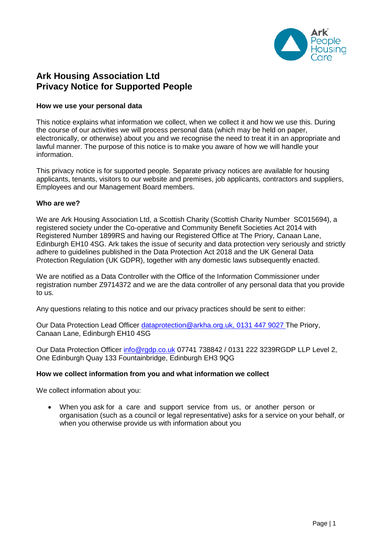

# **Ark Housing Association Ltd Privacy Notice for Supported People**

### **How we use your personal data**

This notice explains what information we collect, when we collect it and how we use this. During the course of our activities we will process personal data (which may be held on paper, electronically, or otherwise) about you and we recognise the need to treat it in an appropriate and lawful manner. The purpose of this notice is to make you aware of how we will handle your information.

This privacy notice is for supported people. Separate privacy notices are available for housing applicants, tenants, visitors to our website and premises, job applicants, contractors and suppliers, Employees and our Management Board members.

### **Who are we?**

We are Ark Housing Association Ltd, a Scottish Charity (Scottish Charity Number SC015694), a registered society under the Co-operative and Community Benefit Societies Act 2014 with Registered Number 1899RS and having our Registered Office at The Priory, Canaan Lane, Edinburgh EH10 4SG. Ark takes the issue of security and data protection very seriously and strictly adhere to guidelines published in the Data Protection Act 2018 and the UK General Data Protection Regulation (UK GDPR), together with any domestic laws subsequently enacted.

We are notified as a Data Controller with the Office of the Information Commissioner under registration number Z9714372 and we are the data controller of any personal data that you provide to us.

Any questions relating to this notice and our privacy practices should be sent to either:

Our Data Protection Lead Officer [dataprotection@arkha.org.uk,](mailto:dataprotection@arkha.org.uk) 0131 447 9027 The Priory, Canaan Lane, Edinburgh EH10 4SG

Our Data Protection Officer [info@rgdp.co.uk](mailto:info@rgdp.co.uk) 07741 738842 / 0131 222 3239RGDP LLP Level 2, One Edinburgh Quay 133 Fountainbridge, Edinburgh EH3 9QG

#### **How we collect information from you and what information we collect**

We collect information about you:

 When you ask for a care and support service from us, or another person or organisation (such as a council or legal representative) asks for a service on your behalf, or when you otherwise provide us with information about you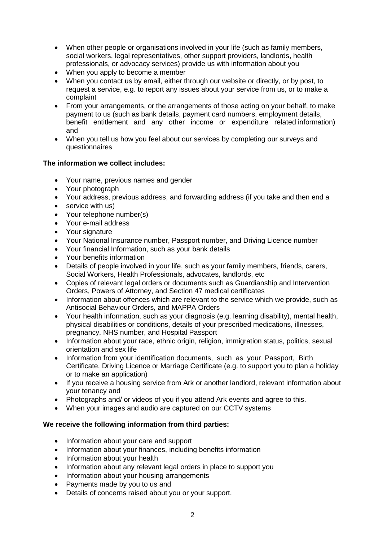- When other people or organisations involved in your life (such as family members, social workers, legal representatives, other support providers, landlords, health professionals, or advocacy services) provide us with information about you
- When you apply to become a member
- When you contact us by email, either through our website or directly, or by post, to request a service, e.g. to report any issues about your service from us, or to make a complaint
- From your arrangements, or the arrangements of those acting on your behalf, to make payment to us (such as bank details, payment card numbers, employment details, benefit entitlement and any other income or expenditure related information) and
- When you tell us how you feel about our services by completing our surveys and questionnaires

## **The information we collect includes:**

- Your name, previous names and gender
- Your photograph
- Your address, previous address, and forwarding address (if you take and then end a
- service with us)
- Your telephone number(s)
- Your e-mail address
- Your signature
- Your National Insurance number, Passport number, and Driving Licence number
- Your financial Information, such as your bank details
- Your benefits information
- Details of people involved in your life, such as your family members, friends, carers, Social Workers, Health Professionals, advocates, landlords, etc
- Copies of relevant legal orders or documents such as Guardianship and Intervention Orders, Powers of Attorney, and Section 47 medical certificates
- Information about offences which are relevant to the service which we provide, such as Antisocial Behaviour Orders, and MAPPA Orders
- Your health information, such as your diagnosis (e.g. learning disability), mental health, physical disabilities or conditions, details of your prescribed medications, illnesses, pregnancy, NHS number, and Hospital Passport
- Information about your race, ethnic origin, religion, immigration status, politics, sexual orientation and sex life
- Information from your identification documents, such as your Passport, Birth Certificate, Driving Licence or Marriage Certificate (e.g. to support you to plan a holiday or to make an application)
- If you receive a housing service from Ark or another landlord, relevant information about your tenancy and
- Photographs and/ or videos of you if you attend Ark events and agree to this.
- When your images and audio are captured on our CCTV systems

## **We receive the following information from third parties:**

- Information about your care and support
- Information about your finances, including benefits information
- Information about your health
- Information about any relevant legal orders in place to support you
- Information about your housing arrangements
- Payments made by you to us and
- Details of concerns raised about you or your support.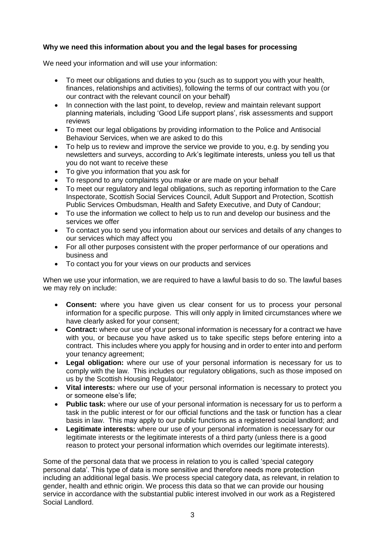# **Why we need this information about you and the legal bases for processing**

We need your information and will use your information:

- To meet our obligations and duties to you (such as to support you with your health, finances, relationships and activities), following the terms of our contract with you (or our contract with the relevant council on your behalf)
- In connection with the last point, to develop, review and maintain relevant support planning materials, including 'Good Life support plans', risk assessments and support reviews
- To meet our legal obligations by providing information to the Police and Antisocial Behaviour Services, when we are asked to do this
- To help us to review and improve the service we provide to you, e.g. by sending you newsletters and surveys, according to Ark's legitimate interests, unless you tell us that you do not want to receive these
- To give you information that you ask for
- To respond to any complaints you make or are made on your behalf
- To meet our regulatory and legal obligations, such as reporting information to the Care Inspectorate, Scottish Social Services Council, Adult Support and Protection, Scottish Public Services Ombudsman, Health and Safety Executive, and Duty of Candour;
- To use the information we collect to help us to run and develop our business and the services we offer
- To contact you to send you information about our services and details of any changes to our services which may affect you
- For all other purposes consistent with the proper performance of our operations and business and
- To contact you for your views on our products and services

When we use your information, we are required to have a lawful basis to do so. The lawful bases we may rely on include:

- **Consent:** where you have given us clear consent for us to process your personal information for a specific purpose. This will only apply in limited circumstances where we have clearly asked for your consent;
- **Contract:** where our use of your personal information is necessary for a contract we have with you, or because you have asked us to take specific steps before entering into a contract. This includes where you apply for housing and in order to enter into and perform your tenancy agreement;
- **Legal obligation:** where our use of your personal information is necessary for us to comply with the law. This includes our regulatory obligations, such as those imposed on us by the Scottish Housing Regulator;
- **Vital interests:** where our use of your personal information is necessary to protect you or someone else's life;
- **Public task:** where our use of your personal information is necessary for us to perform a task in the public interest or for our official functions and the task or function has a clear basis in law. This may apply to our public functions as a registered social landlord; and
- **Legitimate interests:** where our use of your personal information is necessary for our legitimate interests or the legitimate interests of a third party (unless there is a good reason to protect your personal information which overrides our legitimate interests).

Some of the personal data that we process in relation to you is called 'special category personal data'. This type of data is more sensitive and therefore needs more protection including an additional legal basis. We process special category data, as relevant, in relation to gender, health and ethnic origin. We process this data so that we can provide our housing service in accordance with the substantial public interest involved in our work as a Registered Social Landlord.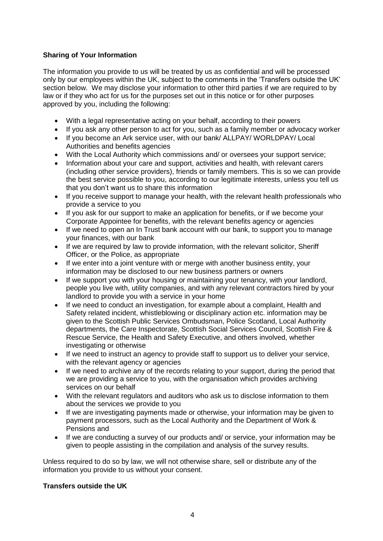# **Sharing of Your Information**

The information you provide to us will be treated by us as confidential and will be processed only by our employees within the UK, subject to the comments in the 'Transfers outside the UK' section below. We may disclose your information to other third parties if we are required to by law or if they who act for us for the purposes set out in this notice or for other purposes approved by you, including the following:

- With a legal representative acting on your behalf, according to their powers
- If you ask any other person to act for you, such as a family member or advocacy worker
- If you become an Ark service user, with our bank/ ALLPAY/ WORLDPAY/ Local Authorities and benefits agencies
- With the Local Authority which commissions and/ or oversees your support service;
- Information about your care and support, activities and health, with relevant carers (including other service providers), friends or family members. This is so we can provide the best service possible to you, according to our legitimate interests, unless you tell us that you don't want us to share this information
- If you receive support to manage your health, with the relevant health professionals who provide a service to you
- If you ask for our support to make an application for benefits, or if we become your Corporate Appointee for benefits, with the relevant benefits agency or agencies
- If we need to open an In Trust bank account with our bank, to support you to manage your finances, with our bank
- If we are required by law to provide information, with the relevant solicitor, Sheriff Officer, or the Police, as appropriate
- If we enter into a joint venture with or merge with another business entity, your information may be disclosed to our new business partners or owners
- If we support you with your housing or maintaining your tenancy, with your landlord, people you live with, utility companies, and with any relevant contractors hired by your landlord to provide you with a service in your home
- If we need to conduct an investigation, for example about a complaint, Health and Safety related incident, whistleblowing or disciplinary action etc. information may be given to the Scottish Public Services Ombudsman, Police Scotland, Local Authority departments, the Care Inspectorate, Scottish Social Services Council, Scottish Fire & Rescue Service, the Health and Safety Executive, and others involved, whether investigating or otherwise
- If we need to instruct an agency to provide staff to support us to deliver your service, with the relevant agency or agencies
- If we need to archive any of the records relating to your support, during the period that we are providing a service to you, with the organisation which provides archiving services on our behalf
- With the relevant regulators and auditors who ask us to disclose information to them about the services we provide to you
- If we are investigating payments made or otherwise, your information may be given to payment processors, such as the Local Authority and the Department of Work & Pensions and
- If we are conducting a survey of our products and/ or service, your information may be given to people assisting in the compilation and analysis of the survey results.

Unless required to do so by law, we will not otherwise share, sell or distribute any of the information you provide to us without your consent.

## **Transfers outside the UK**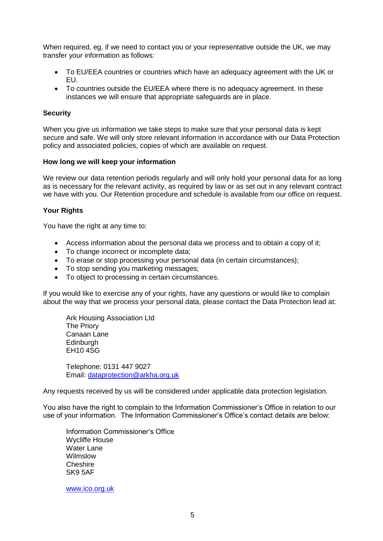When required, eg, if we need to contact you or your representative outside the UK, we may transfer your information as follows:

- To EU/EEA countries or countries which have an adequacy agreement with the UK or EU.
- To countries outside the EU/EEA where there is no adequacy agreement. In these instances we will ensure that appropriate safeguards are in place.

### **Security**

When you give us information we take steps to make sure that your personal data is kept secure and safe. We will only store relevant information in accordance with our Data Protection policy and associated policies, copies of which are available on request.

#### **How long we will keep your information**

We review our data retention periods regularly and will only hold your personal data for as long as is necessary for the relevant activity, as required by law or as set out in any relevant contract we have with you. Our Retention procedure and schedule is available from our office on request.

### **Your Rights**

You have the right at any time to:

- Access information about the personal data we process and to obtain a copy of it;
- To change incorrect or incomplete data;
- To erase or stop processing your personal data (in certain circumstances);
- To stop sending you marketing messages;
- To object to processing in certain circumstances.

If you would like to exercise any of your rights, have any questions or would like to complain about the way that we process your personal data, please contact the Data Protection lead at:

Ark Housing Association Ltd The Priory Canaan Lane **Edinburgh** EH10 4SG

Telephone: 0131 447 9027 Email: [dataprotection@arkha.org.uk](mailto:dataprotection@arkha.org.uk)

Any requests received by us will be considered under applicable data protection legislation.

You also have the right to complain to the Information Commissioner's Office in relation to our use of your information. The Information Commissioner's Office's contact details are below:

Information Commissioner's Office Wycliffe House Water Lane Wilmslow **Cheshire** SK9 5AF

[www.ico.org.uk](http://www.ico.org.uk/)